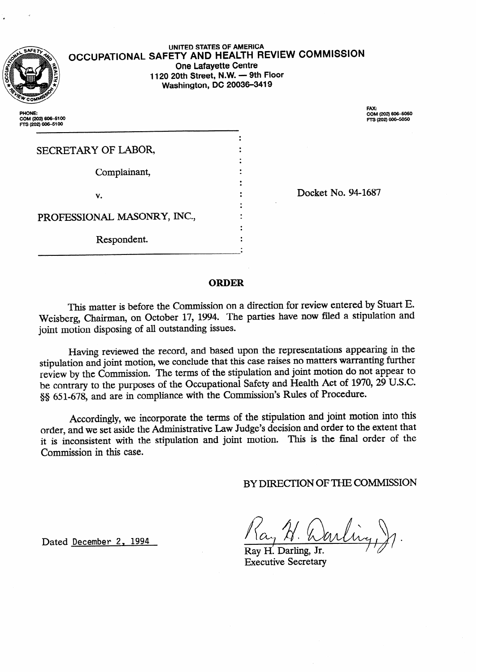

# **OCCUPATIONAL SAFETY AND HEALTH REVIEW COMMISSION UNITED STATES OF AMERICA One Lafayette Centre 1120 20th Street, N.W. - 9th Floor Washington, DC 20036-3419**

.

**PHONE: COM (202) 60%5100 Frs(202)6064100** 

FAX: COM (202) 606-5050<br>FTS (202) 606-5050

| SECRETARY OF LABOR,         |  |
|-----------------------------|--|
| Complainant,                |  |
|                             |  |
| v.                          |  |
| PROFESSIONAL MASONRY, INC., |  |
| Respondent.                 |  |
|                             |  |

Docket No. 94-1687

# **ORDER**

This matter is before the Commission on a direction for review entered by Stuart E. Weisberg, Chairman, on October 17, 1994. The parties have now filed a stipulation and joint motion disposing of all outstanding issues.

Having reviewed the record, and based upon the representations appearing in the stipulation and joint motion, we conclude that this case raises no matters warranting further review by the Commission. The terms of the stipulation and joint motion do not appear to be contrary to the purposes of the Occupational Safety and Health Act of 1970, 29 U.S.C. §§ 651-678, and are in compliance with the Commission's Rules of Procedure.

Accordingly, we incorporate the terms of the stipulation and joint motion into this order, and we set aside the Administrative Iaw Judge's decision and order to the extent that it is inconsistent with the stipulation and joint motion. This is the final order of the Commission in this case.

BY DIRECTION OF THE COMMISSION

Ray H. Darling, Jr. Executive Secretary

Dated December 2, 1994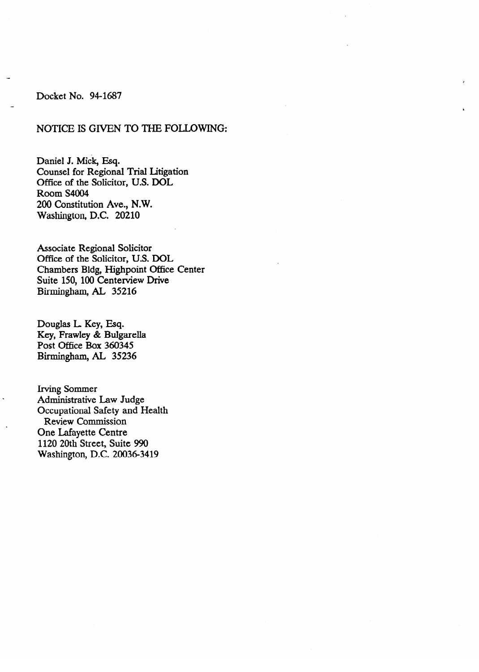# Docket No. 94-1687

# NOTICE IS GIVEN TO THE FOLLOWING:

Daniel J. Mick, Esq. Counsel for Regional Trial Litigation Office of the Solicitor, U.S. DOL Room S4004 200 Constitution Ave., N.W. Washington, D.C. 20210

Associate Regional Solicitor<br>Office of the Solicitor, U.S. DOL Chambers Bldg, Highpoint Office Center Suite 150, 100 Centerview Drive Suite 150, 100 Centerview Drive Birmingham, AL 35216

Douglas L. Key, Esq.<br>Key, Frawley & Bulgarella Post Office Box 360345 Rirmingham AI 35236  $\sigma$  352365  $\sigma$ 

Irving Sommer<br>Administrative Law Judge Occupational Safety and Health Review Commission One Lafayette Centre 1120 20th Street, Suite 990 Washington, D.C. 20036-3419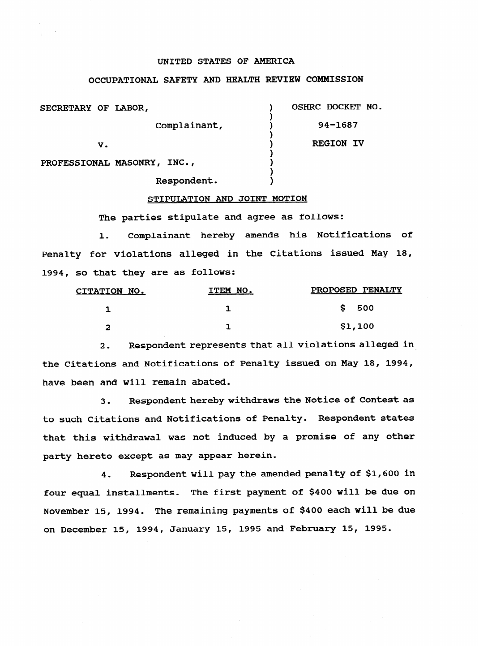#### **UNITED STATES OF AMERICA**

#### **OCCUPATIONAL SAFETY AND HEALTH REVIEW COMMISSION**

| SECRETARY OF LABOR,         | OSHRC DOCKET NO. |
|-----------------------------|------------------|
| Complainant,                | $94 - 1687$      |
| v.                          | <b>REGION IV</b> |
| PROFESSIONAL MASONRY, INC., |                  |

#### **STIPULATION AND JOINT MOTION**

**1** 

The parties stipulate and agree as follows:

1. Complainant hereby amends his Notifications of Penalty for violations alleged in the Citations issued May 18, 1994, so that they are as follows:

| CITATION NO. | ITEM NO. | PROPOSED PENALTY |
|--------------|----------|------------------|
|              |          | 500<br>S.        |
| ∽            |          | \$1,100          |

2. Respondent represents that all violations alleged in the Citations and Notifications of Penalty issued on May 18, 1994, have been and will remain abated.

3. Respondent hereby withdraws the Notice of Contest as to such Citations and Notifications of Penalty. Respondent states that this withdrawal was not induced by a promise of any other party hereto except as may appear herein.

4. Respondent will pay the amended penalty of \$1,600 in four equal installments. The first payment of \$400 will be due on November 15, 1994. The remaining payments of \$400 each will be due on December 15, 1994, January 15, 1995 and February 15, 1995.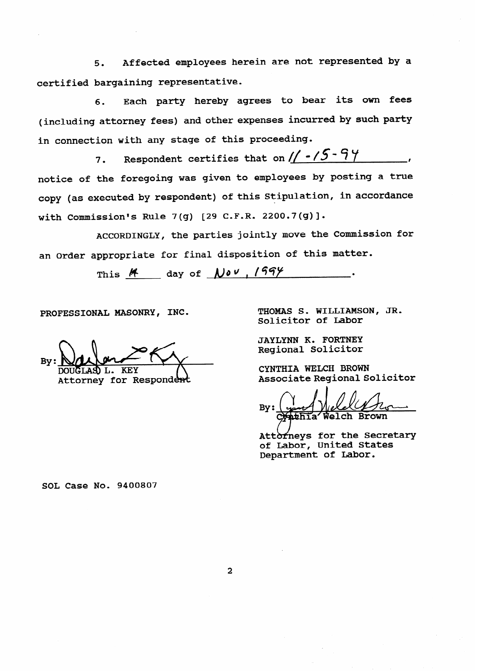**5 0 Affected employees herein are not represented by a certified bargaining representative.** 

6. Each party hereby agrees to bear its own fees **(including attorney fees) and other expenses incurred by such party in connection with any stage of this proceeding.** 

7. Respondent certifies that on  $1/ -75 - 97$ **notice of the foregoing was given to employees by posting a true copy (as executed by respondent) of this Stipulation, in accordance with Commission% Rule 7(g) [29 C.F.R. 2200.7(g)].** 

**ACCORDINGLY, the parties jointly move the Commission for an Order appropriate for final disposition of this matter.** 

This  $M$  day of  $N \nu$ ,  $199$ 

PROFESSIONAL MASONRY, INC.

IGT.AS T. **KEV** 

Attorney for Respondent

**THOMAS S. WILLIAMSON, JR. Solicitor of Labor** 

**JAYLYNN K. FORTNEY Regional Solicitor** 

**CYNTHIA WELCH BROWN Associate Regional Solicitor** 

 $Bv:$ Welch Br

Attorneys for the Secretary **of Labor, United States Department of Labor.** 

**SOL Case No. 9400807** 

 $\overline{2}$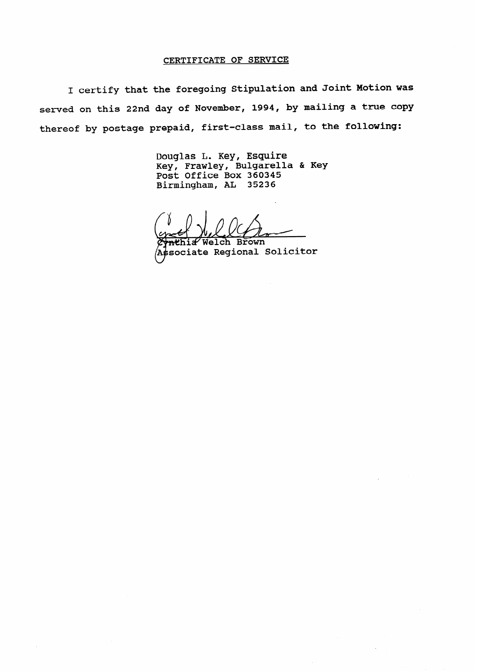#### **CERTIFICATE OF SERVICE**

**I certify that the foregoing Stipulation and Joint Motion was served on this 22nd day of November, 1994, by mailing a true copy thereof by postage prepaid, first-class mail, to the following:** 

> **Douglas L. Key, Esquire KeYI Frawley, Bulgarella & Key Post Office Box 360345 Birmingham, AL 35236**

Welch **Rrown (A#sociate Regional Solicitor**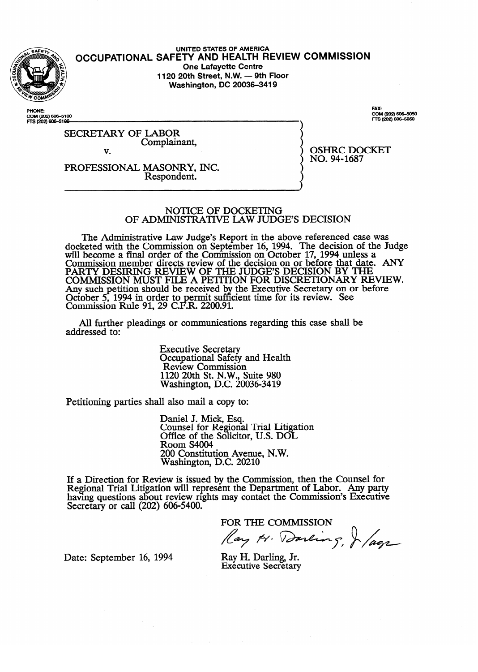

## **UNITED STATES OF AMERICA OCCUPATIONAL SAFETY AND HEALTH REVIEW COMMISSION One Lafayette Centre<br>1120 20th Street, N.W. — 9th Floor 1120 20th Street, N.W. - 9th Floor Washington, DC 20036-3419**

PHONE: **PHONE COM (202) 606-5100**  FAX: COM (202) 606-5050 TS (202) 606-5050

SECRETARY OF LABOR Complainant,  $\overline{\mathbf{v}}$ 

v. PROFESSIONAL MASONRY, INC. Respondent.

OSHING BOCKET  $100.911007$ 

# NOTICE OF DOCKETING<br>OF ADMINISTRATIVE LAW JUDGE'S DECISION

The Administrative Law Judge's Report in the above referenced case was reted with the Commission on September 16, 1994. The decision of the Judge's Report in the above references was  $\Omega$ will become a final order of the Commission on October 17, 1994 unless a commission mamber directs region of the decision on or before that date  $\Delta N V$ Commission member directs review of the decision on or before that date.<br>DADTV DESIDING DEVIEW OF THE HIDGE'S DECISION BY THE PAKI Y DESIKING KEVIEW OF THE JUDGE'S DECISION BY THE TANGER DEVIEW OR BEFORE THE COMMISSION OF BEFORE THAT DATE. AND DEVIEW OF ANY BEFORE THAT DATE. AND DEVIEW OF ANY BEFORE THAT DATE. AND DEVIEW OF ANY BEFORE THAT DATE. COMMISSION MUST FILE A PETITION FOR DISCRETIONART RE<br>Any such petition should be received by the Executive Secretary on or bet Any such petition should be received by the Executive Secretary on or before<br>October 5, 1994 in order to permit sufficient time for its review. See  $\alpha$  and  $\alpha$ , the received become supposed the received before  $\alpha$  the Commission Rule 91 29 C F R 2200 91 Commission Kuie 91, 29 C.F.K.  $2200.91$ .

All further pleadings or communication  $A$  further pleading or communications regarding the shah behalf behalf behalf behalf behalf behalf behalf behalf behalf behalf behalf behalf behalf behalf behalf behalf behalf behalf behalf behalf behalf behalf behalf be

> **Executive Secretary** Occupational Safety and Health<br>Review Commission  $1120$  20th St. N.W., Suite 980 Nashington, D.C. 200 **1120 20th** St. N.W., Suite 980

Petitioning parties shall also mail a copy to:

Daniel J. Mick, Esq. Office of the Solicito Room S4004 200 Constitution Avenue, N.W. Washington, D.C. 20210

200 Constitution Avenue, N.W. iew is issued by the Comi having questions about review rights may contact the Commission's Executive<br>Secretary of soll (202), 606,5400 Secretary or call  $(202)$  000-5400.

FOR THE COMMISSION

Ray H. Darling, J /agr

Date: September 16, 1994

Ray H. Darling. Jr. Executive Secretary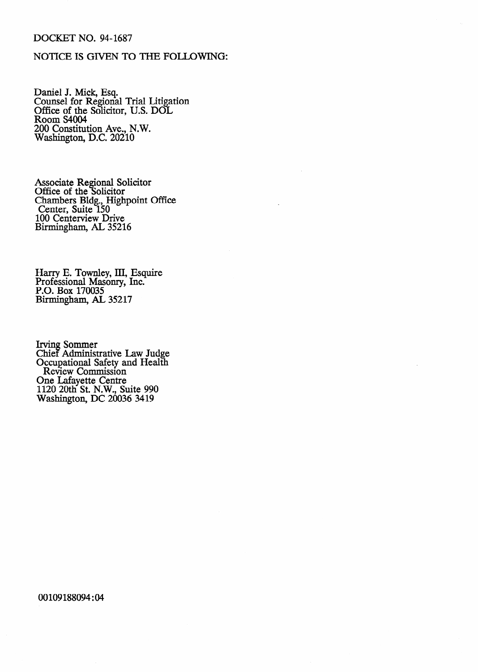# DOCKET NO. 94-1687

# NOTICE IS GIVEN TO THE FOLLOWING:

Daniel J. Mick, Esq. Counsel for Regional Trial Litigation Office of the Solicitor, U.S. DOL Room S4004 200 Constitution Ave., N.W. Washington, D.C. 20210

Associate Regional Solicitor Office of the Solicitor Chambers Bldg., Highpoint Center, Suite 150 100 Ceriterview Drive Birmingham, AL 35216 Office

Harry E. Townley, III, Esquire Professional Masonry, Inc. P.O. Box 170035 Birmingham, AL 35217

Irving Sommer Chief Administrative Law Judge Occupational Safety and Health Review Commission One Lafayette Centre 1120 20th St. N.W., Suite 990 Washington, DC 20036 3419

00109188094:04